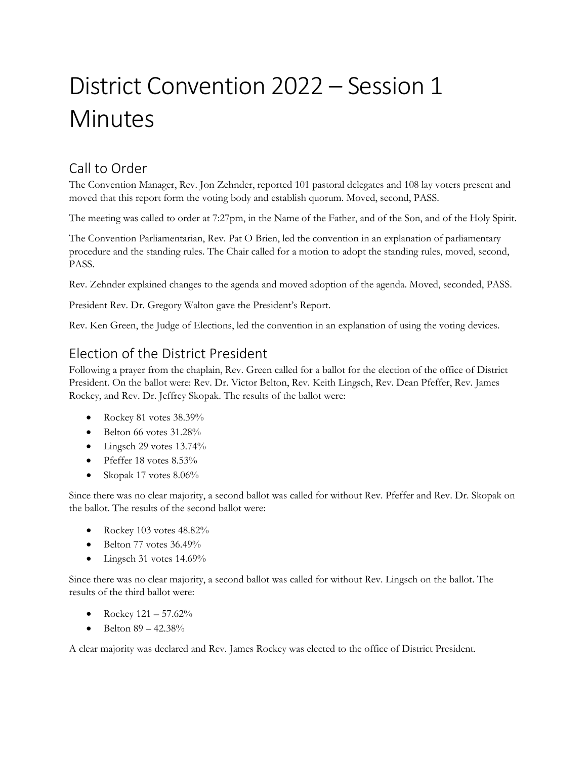# District Convention 2022 – Session 1 **Minutes**

#### Call to Order

The Convention Manager, Rev. Jon Zehnder, reported 101 pastoral delegates and 108 lay voters present and moved that this report form the voting body and establish quorum. Moved, second, PASS.

The meeting was called to order at 7:27pm, in the Name of the Father, and of the Son, and of the Holy Spirit.

The Convention Parliamentarian, Rev. Pat O Brien, led the convention in an explanation of parliamentary procedure and the standing rules. The Chair called for a motion to adopt the standing rules, moved, second, PASS.

Rev. Zehnder explained changes to the agenda and moved adoption of the agenda. Moved, seconded, PASS.

President Rev. Dr. Gregory Walton gave the President's Report.

Rev. Ken Green, the Judge of Elections, led the convention in an explanation of using the voting devices.

#### Election of the District President

Following a prayer from the chaplain, Rev. Green called for a ballot for the election of the office of District President. On the ballot were: Rev. Dr. Victor Belton, Rev. Keith Lingsch, Rev. Dean Pfeffer, Rev. James Rockey, and Rev. Dr. Jeffrey Skopak. The results of the ballot were:

- Rockey 81 votes 38.39%
- $\bullet$  Belton 66 votes 31.28%
- $\bullet$  Lingsch 29 votes 13.74%
- Pfeffer 18 votes  $8.53\%$
- Skopak 17 votes 8.06%

Since there was no clear majority, a second ballot was called for without Rev. Pfeffer and Rev. Dr. Skopak on the ballot. The results of the second ballot were:

- Rockey 103 votes 48.82%
- $\bullet$  Belton 77 votes 36.49%
- Lingsch 31 votes 14.69%

Since there was no clear majority, a second ballot was called for without Rev. Lingsch on the ballot. The results of the third ballot were:

- Rockey  $121 57.62\%$
- Belton  $89 42.38\%$

A clear majority was declared and Rev. James Rockey was elected to the office of District President.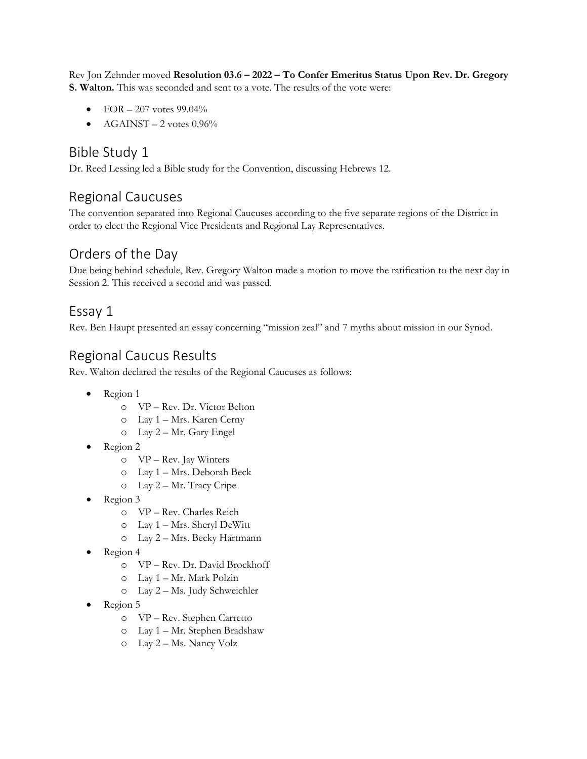Rev Jon Zehnder moved **Resolution 03.6 – 2022 – To Confer Emeritus Status Upon Rev. Dr. Gregory S. Walton.** This was seconded and sent to a vote. The results of the vote were:

- FOR  $-207$  votes 99.04%
- $AGAINST 2$  votes  $0.96\%$

#### Bible Study 1

Dr. Reed Lessing led a Bible study for the Convention, discussing Hebrews 12.

## Regional Caucuses

The convention separated into Regional Caucuses according to the five separate regions of the District in order to elect the Regional Vice Presidents and Regional Lay Representatives.

## Orders of the Day

Due being behind schedule, Rev. Gregory Walton made a motion to move the ratification to the next day in Session 2. This received a second and was passed.

#### Essay 1

Rev. Ben Haupt presented an essay concerning "mission zeal" and 7 myths about mission in our Synod.

## Regional Caucus Results

Rev. Walton declared the results of the Regional Caucuses as follows:

- Region 1
	- o VP Rev. Dr. Victor Belton
	- o Lay 1 Mrs. Karen Cerny
	- o Lay 2 Mr. Gary Engel
- Region 2
	- o VP Rev. Jay Winters
	- o Lay 1 Mrs. Deborah Beck
	- o Lay 2 Mr. Tracy Cripe
- Region 3
	- o VP Rev. Charles Reich
	- o Lay 1 Mrs. Sheryl DeWitt
	- o Lay 2 Mrs. Becky Hartmann
- Region 4
	- o VP Rev. Dr. David Brockhoff
	- o Lay 1 Mr. Mark Polzin
	- o Lay 2 Ms. Judy Schweichler
- Region 5
	- o VP Rev. Stephen Carretto
	- o Lay 1 Mr. Stephen Bradshaw
	- o Lay 2 Ms. Nancy Volz